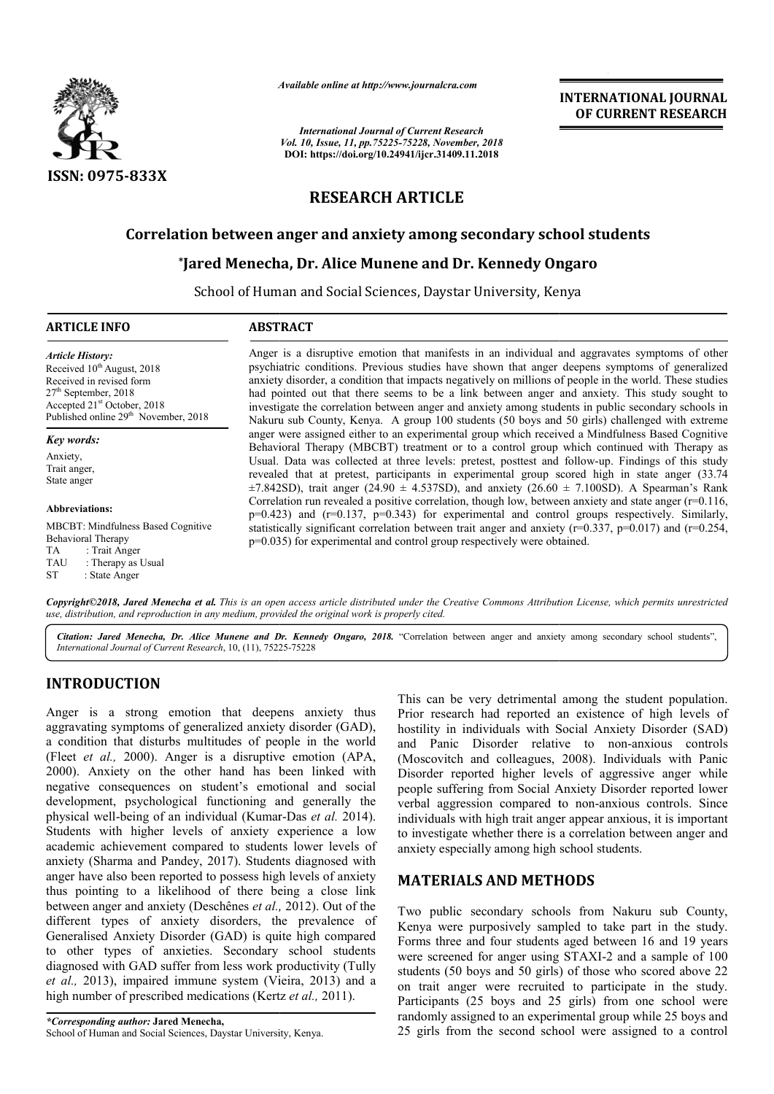

*Available online at http://www.journalcra.com*

*International Journal of Current Research Vol. 10, Issue, 11, pp.75225-75228, November, 2018* **DOI: https://doi.org/10.24941/ijcr.31409.11.2018**

**INTERNATIONAL JOURNAL OF CURRENT RESEARCH**

# **RESEARCH ARTICLE**

## **Correlation between anger and anxiety among secondary school students**

# tion between anger and anxiety among secondary school s<br>\*Jared Menecha, Dr. Alice Munene and Dr. Kennedy Ongaro

School of Human and Social Sciences, Daystar University, Kenya Kenya

#### **ARTICLE INFO ABSTRACT**

*Article History:* Received 10<sup>th</sup> August, 2018 Received in revised form 27th September, 2018 Accepted 21<sup>st</sup> October, 2018 Published online 29<sup>th</sup> November, 2018

*Key words:*

Anxiety, Trait anger, State anger

#### **Abbreviations:**

MBCBT: Mindfulness Based Cognitive Behavioral Therapy TA : Trait Anger<br>TAU : Therany as : Therapy as Usual ST : State Anger

Anger is a disruptive emotion that manifests in an individual and aggravates symptoms of other psychiatric conditions. Previous studies have shown that anger deepens symptoms of generalized anxiety disorder, a condition that impacts negatively on millions of people in the world. These studies had pointed out that there seems to be a link between anger and anxiety. This study sought to investigate the correlation between anger and anxiety among students in public secondary schools in Nakuru sub County, Kenya. A group 100 students (50 boys and 50 girls) challenged with extreme anger were assigned either to an experimental group which received a Mindfulness Based Cognitive Behavioral Therapy (MBCBT) treatment or to a control group which continued with Therapy as investigate the correlation between anger and anxiety among students in public secondary schools in Nakuru sub County, Kenya. A group 100 students (50 boys and 50 girls) challenged with extreme anger were assigned either t revealed that at pretest, participants in experimental group scored high in state anger (33.74 revealed that at pretest, participants in experimental group scored high in state anger  $(33.74 \pm 7.842SD)$ , trait anger  $(24.90 \pm 4.537SD)$ , and anxiety  $(26.60 \pm 7.100SD)$ . A Spearman's Rank Correlation run revealed a positive correlation, though low, betw between anxiety and state anger (r=0.116, p=0.423) and (r=0.137, p=0.343) for experimental and control groups respectively. Similarly, statistically significant correlation between trait anger and anxiety ( $r=0.337$ ,  $p=0.017$ ) and ( $r=0.254$ , p=0.035) for experimental and control group respectively were obtained. Anger is a disruptive emotion that manifests in an individual and aggravates symptoms of other psychiatric conditions. Previous studies have shown that anger deepens symptoms of generalized anxiety disorder, a condition th Correlation run revealed a positive correlation, though low, between anxiety and state anger  $p=0.423$ ) and (r=0.137,  $p=0.343$ ) for experimental and control groups respectively. Statistically significant correlation betw **EXERCTIONATIONAL JOURNAL (Research anti-**<br> **EXERCT (FREE ANTIONAL STANCE AND (FREE ANTIONAL STANCE AND (FREE ANTION AND (FREE ANTION AND HEAD (1991) West through COLLE CLE CLE CHEME In an individual and aggravates symptom** 

Copyright©2018, Jared Menecha et al. This is an open access article distributed under the Creative Commons Attribution License, which permits unrestricted *use, distribution, and reproduction in any medium, provided the original work is properly cited.*

Citation: Jared Menecha, Dr. Alice Munene and Dr. Kennedy Ongaro, 2018. "Correlation between anger and anxiety among secondary school students", *International Journal of Current Research*, 10, (11), 75225 75225-75228

# **INTRODUCTION**

Anger is a strong emotion that deepens anxiety thus aggravating symptoms of generalized anxiety disorder (GAD), a condition that disturbs multitudes of people in the world (Fleet *et al.,* 2000). Anger is a disruptive emotion (APA, 2000). Anxiety on the other hand has been linked with negative consequences on student's emotional and social development, psychological functioning and generally the physical well-being of an individual (Kumar-Das *et al.* 2014). Students with higher levels of anxiety experience a low academic achievement compared to students lower levels of anxiety (Sharma and Pandey, 2017). Students diagnosed with anger have also been reported to possess high levels of anxiety thus pointing to a likelihood of there being a close link between anger and anxiety (Deschênes *et al.,*  2012). Out of the different types of anxiety disorders, the prevalence of Generalised Anxiety Disorder (GAD) is quite high compared to other types of anxieties. Secondary school students diagnosed with GAD suffer from less work productivity (Tully *et al.,* 2013), impaired immune system (Vieira, 2013) and a high number of prescribed medications (Kertz *et al.,* 2011).

This can be very detrimental among the student population. Prior research had reported an existence of high levels of hostility in individuals with Social Anxiety Disorder (SAD) This can be very detrimental among the student population.<br>Prior research had reported an existence of high levels of<br>hostility in individuals with Social Anxiety Disorder (SAD)<br>and Panic Disorder relative to non-anxious c (Moscovitch and colleagues, 2008). Individuals with Panic Disorder reported higher levels of aggressive anger while people suffering from Social Anxiety Disorder reported lower verbal aggression compared to non-anxious controls. Since individuals with high trait anger appear anxious, it is important to investigate whether there is a correlation between anger and to investigate whether there is a correlation bet anxiety especially among high school students. (Moscovitch and colleagues, 2008). Individuals with Panic Disorder reported higher levels of aggressive anger while people suffering from Social Anxiety Disorder reported lower verbal aggression compared to non-anxious con

# **MATERIALS AND METHODS METHODS**

Two public secondary schools from Nakuru sub County, Two public secondary schools from Nakuru sub County, Kenya were purposively sampled to take part in the study. Forms three and four students aged between 16 and 19 years were screened for anger using STAXI-2 and a sample of 100 students (50 boys and 50 girls) of those who scored above 22 on trait anger were recruited to participate in the study. Participants (25 boys and 25 girls) from one school were randomly assigned to an experimental group while 25 boys and 25 girls from the second school were assigned to a control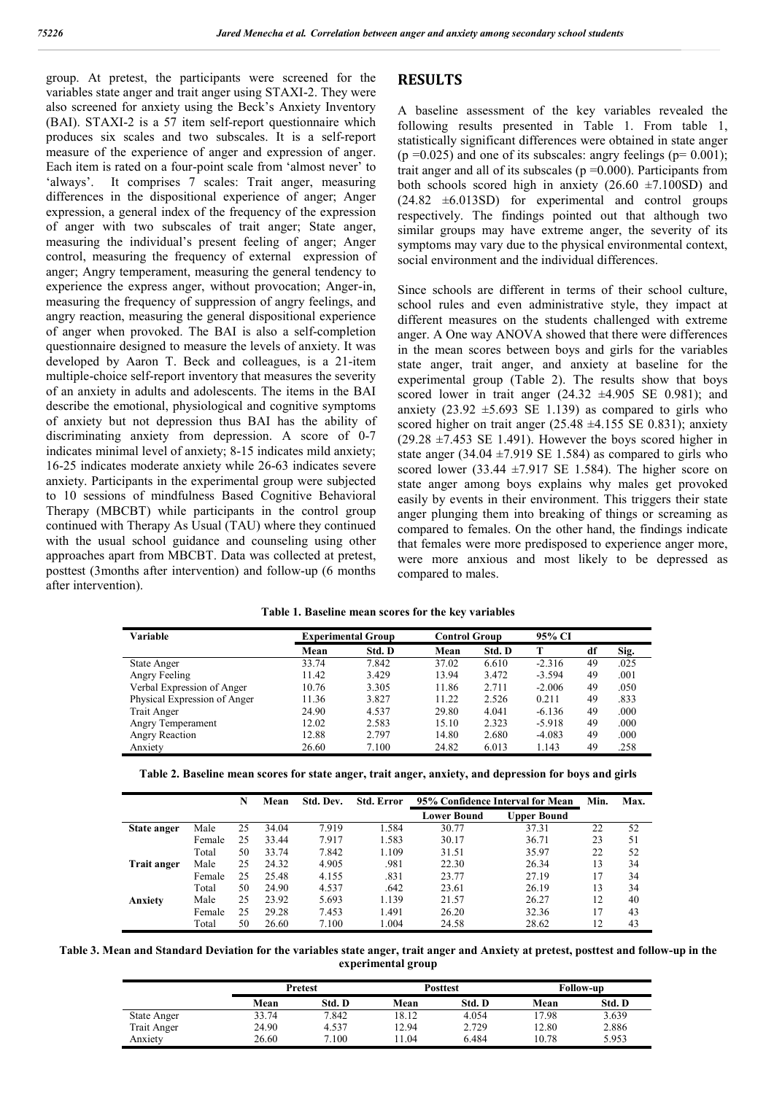group. At pretest, the participants were screened for the variables state anger and trait anger using STAXI-2. They were also screened for anxiety using the Beck's Anxiety Inventory (BAI). STAXI-2 is a 57 item self-report questionnaire which produces six scales and two subscales. It is a self-report measure of the experience of anger and expression of anger. Each item is rated on a four-point scale from 'almost never' to 'always'. It comprises 7 scales: Trait anger, measuring differences in the dispositional experience of anger; Anger expression, a general index of the frequency of the expression of anger with two subscales of trait anger; State anger, measuring the individual's present feeling of anger; Anger control, measuring the frequency of external expression of anger; Angry temperament, measuring the general tendency to experience the express anger, without provocation; Anger-in, measuring the frequency of suppression of angry feelings, and angry reaction, measuring the general dispositional experience of anger when provoked. The BAI is also a self-completion questionnaire designed to measure the levels of anxiety. It was developed by Aaron T. Beck and colleagues, is a 21-item multiple-choice self-report inventory that measures the severity of an anxiety in adults and adolescents. The items in the BAI describe the emotional, physiological and cognitive symptoms of anxiety but not depression thus BAI has the ability of discriminating anxiety from depression. A score of 0-7 indicates minimal level of anxiety; 8-15 indicates mild anxiety; 16-25 indicates moderate anxiety while 26-63 indicates severe anxiety. Participants in the experimental group were subjected to 10 sessions of mindfulness Based Cognitive Behavioral Therapy (MBCBT) while participants in the control group continued with Therapy As Usual (TAU) where they continued with the usual school guidance and counseling using other approaches apart from MBCBT. Data was collected at pretest, posttest (3months after intervention) and follow-up (6 months after intervention).

#### **RESULTS**

A baseline assessment of the key variables revealed the following results presented in Table 1. From table 1, statistically significant differences were obtained in state anger  $(p = 0.025)$  and one of its subscales: angry feelings  $(p = 0.001)$ ; trait anger and all of its subscales ( $p = 0.000$ ). Participants from both schools scored high in anxiety  $(26.60 \pm 7.100SD)$  and  $(24.82 \pm 6.013SD)$  for experimental and control groups respectively. The findings pointed out that although two similar groups may have extreme anger, the severity of its symptoms may vary due to the physical environmental context, social environment and the individual differences.

Since schools are different in terms of their school culture, school rules and even administrative style, they impact at different measures on the students challenged with extreme anger. A One way ANOVA showed that there were differences in the mean scores between boys and girls for the variables state anger, trait anger, and anxiety at baseline for the experimental group (Table 2). The results show that boys scored lower in trait anger  $(24.32 \pm 4.905 \text{ SE } 0.981)$ ; and anxiety  $(23.92 \pm 5.693 \text{ SE } 1.139)$  as compared to girls who scored higher on trait anger (25.48  $\pm$ 4.155 SE 0.831); anxiety  $(29.28 \pm 7.453 \text{ SE } 1.491)$ . However the boys scored higher in state anger  $(34.04 \pm 7.919 \text{ SE } 1.584)$  as compared to girls who scored lower (33.44  $\pm$ 7.917 SE 1.584). The higher score on state anger among boys explains why males get provoked easily by events in their environment. This triggers their state anger plunging them into breaking of things or screaming as compared to females. On the other hand, the findings indicate that females were more predisposed to experience anger more, were more anxious and most likely to be depressed as compared to males.

| Table 1. Baseline mean scores for the key variables |  |
|-----------------------------------------------------|--|
|-----------------------------------------------------|--|

| Variable                     | <b>Experimental Group</b> |        | <b>Control Group</b> |        | 95% CI   |    |      |
|------------------------------|---------------------------|--------|----------------------|--------|----------|----|------|
|                              | Mean                      | Std. D | Mean                 | Std. D |          | df | Sig. |
| State Anger                  | 33.74                     | 7.842  | 37.02                | 6.610  | $-2.316$ | 49 | .025 |
| Angry Feeling                | 11.42                     | 3.429  | 13.94                | 3.472  | $-3.594$ | 49 | .001 |
| Verbal Expression of Anger   | 10.76                     | 3.305  | 11.86                | 2.711  | $-2.006$ | 49 | .050 |
| Physical Expression of Anger | 11.36                     | 3.827  | 11.22                | 2.526  | 0.211    | 49 | .833 |
| Trait Anger                  | 24.90                     | 4.537  | 29.80                | 4.041  | $-6.136$ | 49 | .000 |
| Angry Temperament            | 12.02                     | 2.583  | 15.10                | 2.323  | $-5.918$ | 49 | .000 |
| Angry Reaction               | 12.88                     | 2.797  | 14.80                | 2.680  | $-4.083$ | 49 | .000 |
| Anxiety                      | 26.60                     | 7.100  | 24.82                | 6.013  | 1.143    | 49 | .258 |

| Table 2. Baseline mean scores for state anger, trait anger, anxiety, and depression for boys and girls |  |  |  |  |
|--------------------------------------------------------------------------------------------------------|--|--|--|--|
|--------------------------------------------------------------------------------------------------------|--|--|--|--|

|             |        | N  | Mean  | Std. Dev. | Std. Error | 95% Confidence Interval for Mean | Min.        | Max. |    |
|-------------|--------|----|-------|-----------|------------|----------------------------------|-------------|------|----|
|             |        |    |       |           |            | Lower Bound                      | Upper Bound |      |    |
| State anger | Male   | 25 | 34.04 | 7.919     | 1.584      | 30.77                            | 37.31       | 22   | 52 |
|             | Female | 25 | 33.44 | 7.917     | 1.583      | 30.17                            | 36.71       | 23   | 51 |
|             | Total  | 50 | 33.74 | 7.842     | 1.109      | 31.51                            | 35.97       | 22   | 52 |
| Trait anger | Male   | 25 | 24.32 | 4.905     | .981       | 22.30                            | 26.34       | 13   | 34 |
|             | Female | 25 | 25.48 | 4.155     | .831       | 23.77                            | 27.19       | 17   | 34 |
|             | Total  | 50 | 24.90 | 4.537     | .642       | 23.61                            | 26.19       | 13   | 34 |
| Anxiety     | Male   | 25 | 23.92 | 5.693     | 1.139      | 21.57                            | 26.27       | 12   | 40 |
|             | Female | 25 | 29.28 | 7.453     | 1.491      | 26.20                            | 32.36       | 17   | 43 |
|             | Total  | 50 | 26.60 | 7.100     | 1.004      | 24.58                            | 28.62       | 12   | 43 |

**Table 3. Mean and Standard Deviation for the variables state anger, trait anger and Anxiety at pretest, posttest and follow-up in the experimental group**

|                    |       | <b>Pretest</b> |       | <b>Posttest</b> |       | <b>Follow-up</b> |  |  |
|--------------------|-------|----------------|-------|-----------------|-------|------------------|--|--|
|                    | Mean  | Std. D         | Mean  | Std. D          | Mean  | Std. D           |  |  |
| State Anger        | 33.74 | 7.842          | 18.12 | 4.054           | 17.98 | 3.639            |  |  |
| <b>Trait Anger</b> | 24.90 | 4.537          | 12.94 | 2.729           | 12.80 | 2.886            |  |  |
| Anxiety            | 26.60 | 7.100          | 1.04  | 6.484           | 10.78 | 5.953            |  |  |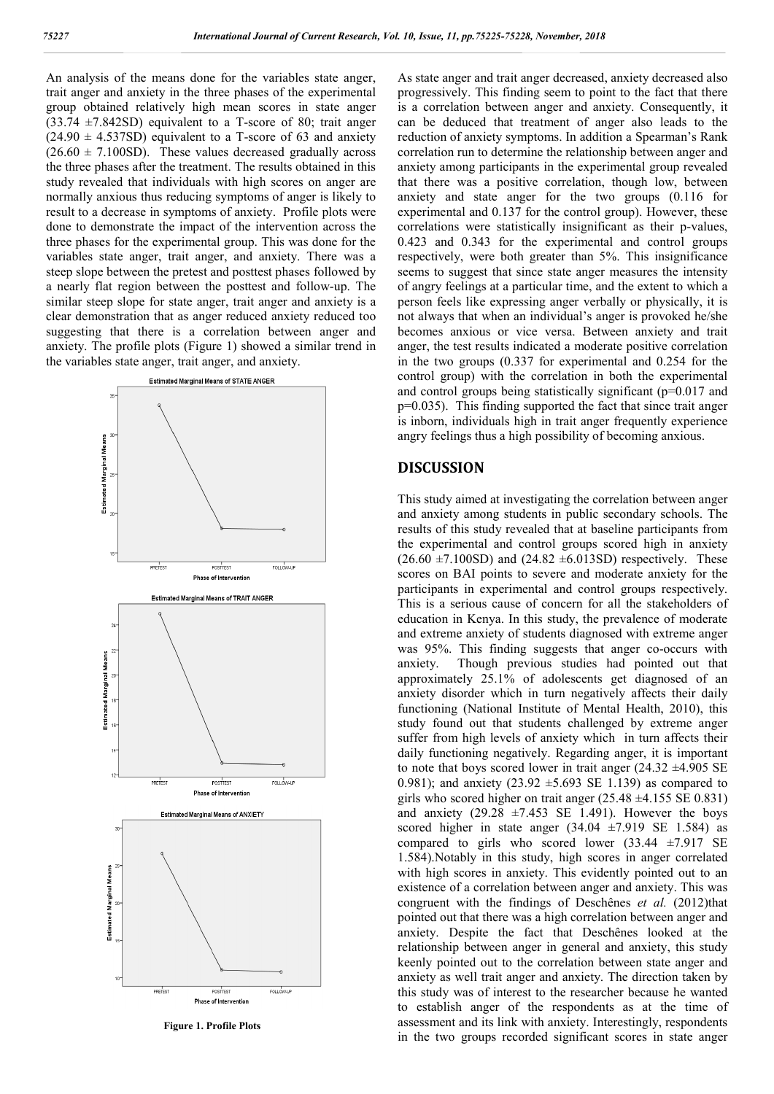An analysis of the means done for the variables state anger, trait anger and anxiety in the three phases of the experimental group obtained relatively high mean scores in state anger  $(33.74 \pm 7.842SD)$  equivalent to a T-score of 80; trait anger  $(24.90 \pm 4.537SD)$  equivalent to a T-score of 63 and anxiety  $(26.60 \pm 7.100SD)$ . These values decreased gradually across the three phases after the treatment. The results obtained in this study revealed that individuals with high scores on anger are normally anxious thus reducing symptoms of anger is likely to result to a decrease in symptoms of anxiety. Profile plots were done to demonstrate the impact of the intervention across the three phases for the experimental group. This was done for the variables state anger, trait anger, and anxiety. There was a steep slope between the pretest and posttest phases followed by a nearly flat region between the posttest and follow-up. The similar steep slope for state anger, trait anger and anxiety is a clear demonstration that as anger reduced anxiety reduced too suggesting that there is a correlation between anger and anxiety. The profile plots (Figure 1) showed a similar trend in the variables state anger, trait anger, and anxiety.



**Figure 1. Profile Plots**

As state anger and trait anger decreased, anxiety decreased also progressively. This finding seem to point to the fact that there is a correlation between anger and anxiety. Consequently, it can be deduced that treatment of anger also leads to the reduction of anxiety symptoms. In addition a Spearman's Rank correlation run to determine the relationship between anger and anxiety among participants in the experimental group revealed that there was a positive correlation, though low, between anxiety and state anger for the two groups (0.116 for experimental and 0.137 for the control group). However, these correlations were statistically insignificant as their p-values, 0.423 and 0.343 for the experimental and control groups respectively, were both greater than 5%. This insignificance seems to suggest that since state anger measures the intensity of angry feelings at a particular time, and the extent to which a person feels like expressing anger verbally or physically, it is not always that when an individual's anger is provoked he/she becomes anxious or vice versa. Between anxiety and trait anger, the test results indicated a moderate positive correlation in the two groups (0.337 for experimental and 0.254 for the control group) with the correlation in both the experimental and control groups being statistically significant (p=0.017 and p=0.035). This finding supported the fact that since trait anger is inborn, individuals high in trait anger frequently experience angry feelings thus a high possibility of becoming anxious.

#### **DISCUSSION**

This study aimed at investigating the correlation between anger and anxiety among students in public secondary schools. The results of this study revealed that at baseline participants from the experimental and control groups scored high in anxiety  $(26.60 \pm 7.100SD)$  and  $(24.82 \pm 6.013SD)$  respectively. These scores on BAI points to severe and moderate anxiety for the participants in experimental and control groups respectively. This is a serious cause of concern for all the stakeholders of education in Kenya. In this study, the prevalence of moderate and extreme anxiety of students diagnosed with extreme anger was 95%. This finding suggests that anger co-occurs with anxiety. Though previous studies had pointed out that approximately 25.1% of adolescents get diagnosed of an anxiety disorder which in turn negatively affects their daily functioning (National Institute of Mental Health, 2010), this study found out that students challenged by extreme anger suffer from high levels of anxiety which in turn affects their daily functioning negatively. Regarding anger, it is important to note that boys scored lower in trait anger  $(24.32 \pm 4.905 \text{ SE})$ 0.981); and anxiety  $(23.92 \pm 5.693 \text{ SE } 1.139)$  as compared to girls who scored higher on trait anger  $(25.48 \pm 4.155 \text{ SE } 0.831)$ and anxiety  $(29.28 \pm 7.453 \text{ SE } 1.491)$ . However the boys scored higher in state anger  $(34.04 \pm 7.919 \text{ SE} 1.584)$  as compared to girls who scored lower  $(33.44 \pm 7.917 \text{ SE})$ 1.584).Notably in this study, high scores in anger correlated with high scores in anxiety. This evidently pointed out to an existence of a correlation between anger and anxiety. This was congruent with the findings of Deschênes *et al.* (2012)that pointed out that there was a high correlation between anger and anxiety. Despite the fact that Deschênes looked at the relationship between anger in general and anxiety, this study keenly pointed out to the correlation between state anger and anxiety as well trait anger and anxiety. The direction taken by this study was of interest to the researcher because he wanted to establish anger of the respondents as at the time of assessment and its link with anxiety. Interestingly, respondents in the two groups recorded significant scores in state anger